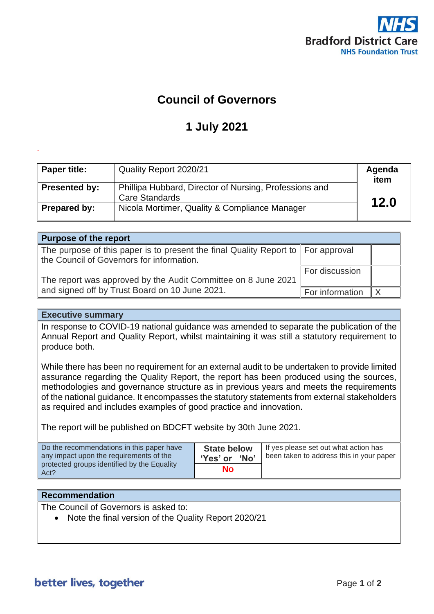

## **Council of Governors**

## **1 July 2021**

| <b>Paper title:</b>  | Quality Report 2020/21                                                   | Agenda<br>item |
|----------------------|--------------------------------------------------------------------------|----------------|
| <b>Presented by:</b> | Phillipa Hubbard, Director of Nursing, Professions and<br>Care Standards | 12.0           |
| Prepared by:         | Nicola Mortimer, Quality & Compliance Manager                            |                |

| <b>Purpose of the report</b>                                                                                                              |                 |  |
|-------------------------------------------------------------------------------------------------------------------------------------------|-----------------|--|
| The purpose of this paper is to present the final Quality Report to $\parallel$ For approval<br>the Council of Governors for information. |                 |  |
| The report was approved by the Audit Committee on 8 June 2021                                                                             | For discussion  |  |
| and signed off by Trust Board on 10 June 2021.                                                                                            | For information |  |

## **Executive summary**

.

In response to COVID-19 national guidance was amended to separate the publication of the Annual Report and Quality Report, whilst maintaining it was still a statutory requirement to produce both.

While there has been no requirement for an external audit to be undertaken to provide limited assurance regarding the Quality Report, the report has been produced using the sources, methodologies and governance structure as in previous years and meets the requirements of the national guidance. It encompasses the statutory statements from external stakeholders as required and includes examples of good practice and innovation.

The report will be published on BDCFT website by 30th June 2021.

| Do the recommendations in this paper have           | <b>State below</b> | If yes please set out what action has    |
|-----------------------------------------------------|--------------------|------------------------------------------|
| any impact upon the requirements of the             | 'Yes' or 'No'      | been taken to address this in your paper |
| protected groups identified by the Equality<br>Act? | No                 |                                          |

## **Recommendation**

The Council of Governors is asked to:

• Note the final version of the Quality Report 2020/21